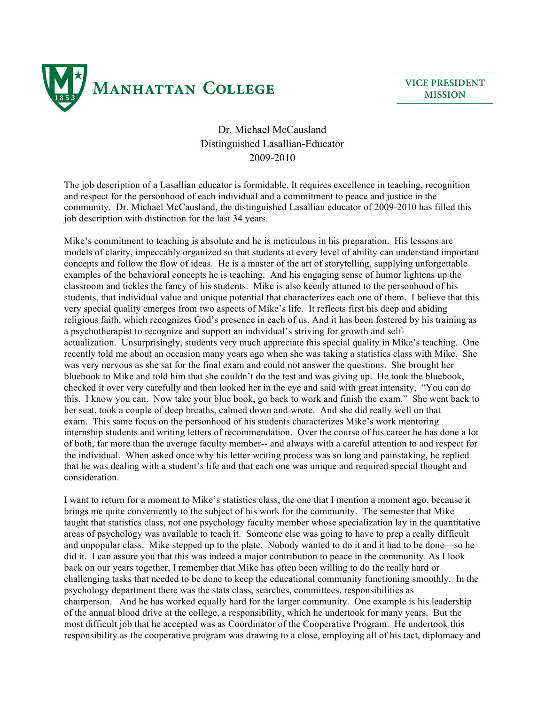

**VICE PRESIDENT MISSION**

## Dr. Michael McCausland Distinguished Lasallian-Educator 2009-2010

The job description of a Lasallian educator is formidable. It requires excellence in teaching, recognition and respect for the personhood of each individual and a commitment to peace and justice in the community. Dr. Michael McCausland, the distinguished Lasallian educator of 2009-2010 has filled this job description with distinction for the last 34 years.

Mike's commitment to teaching is absolute and he is meticulous in his preparation. His lessons are models of clarity, impeccably organized so that students at every level of ability can understand important concepts and follow the flow of ideas. He is a master of the art of storytelling, supplying unforgettable examples of the behavioral concepts he is teaching. And his engaging sense of humor lightens up the classroom and tickles the fancy of his students. Mike is also keenly attuned to the personhood of his students, that individual value and unique potential that characterizes each one of them. I believe that this very special quality emerges from two aspects of Mike's life. It reflects first his deep and abiding religious faith, which recognizes God's presence in each of us. And it has been fostered by his training as a psychotherapist to recognize and support an individual's striving for growth and selfactualization. Unsurprisingly, students very much appreciate this special quality in Mike's teaching. One recently told me about an occasion many years ago when she was taking a statistics class with Mike. She was very nervous as she sat for the final exam and could not answer the questions. She brought her bluebook to Mike and told him that she couldn't do the test and was giving up. He took the bluebook, checked it over very carefully and then looked her in the eye and said with great intensity, "You can do this. I know you can. Now take your blue book, go back to work and finish the exam." She went back to her seat, took a couple of deep breaths, calmed down and wrote. And she did really well on that exam. This same focus on the personhood of his students characterizes Mike's work mentoring internship students and writing letters of recommendation. Over the course of his career he has done a lot of both, far more than the average faculty member-- and always with a careful attention to and respect for the individual. When asked once why his letter writing process was so long and painstaking, he replied that he was dealing with a student's life and that each one was unique and required special thought and consideration.

I want to return for a moment to Mike's statistics class, the one that I mention a moment ago, because it brings me quite conveniently to the subject of his work for the community. The semester that Mike taught that statistics class, not one psychology faculty member whose specialization lay in the quantitative areas of psychology was available to teach it. Someone else was going to have to prep a really difficult and unpopular class. Mike stepped up to the plate. Nobody wanted to do it and it had to be done—so he did it. I can assure you that this was indeed a major contribution to peace in the community. As I look back on our years together, I remember that Mike has often been willing to do the really hard or challenging tasks that needed to be done to keep the educational community functioning smoothly. In the psychology department there was the stats class, searches, committees, responsibilities as chairperson. And he has worked equally hard for the larger community. One example is his leadership of the annual blood drive at the college, a responsibility, which he undertook for many years. But the most difficult job that he accepted was as Coordinator of the Cooperative Program. He undertook this responsibility as the cooperative program was drawing to a close, employing all of his tact, diplomacy and